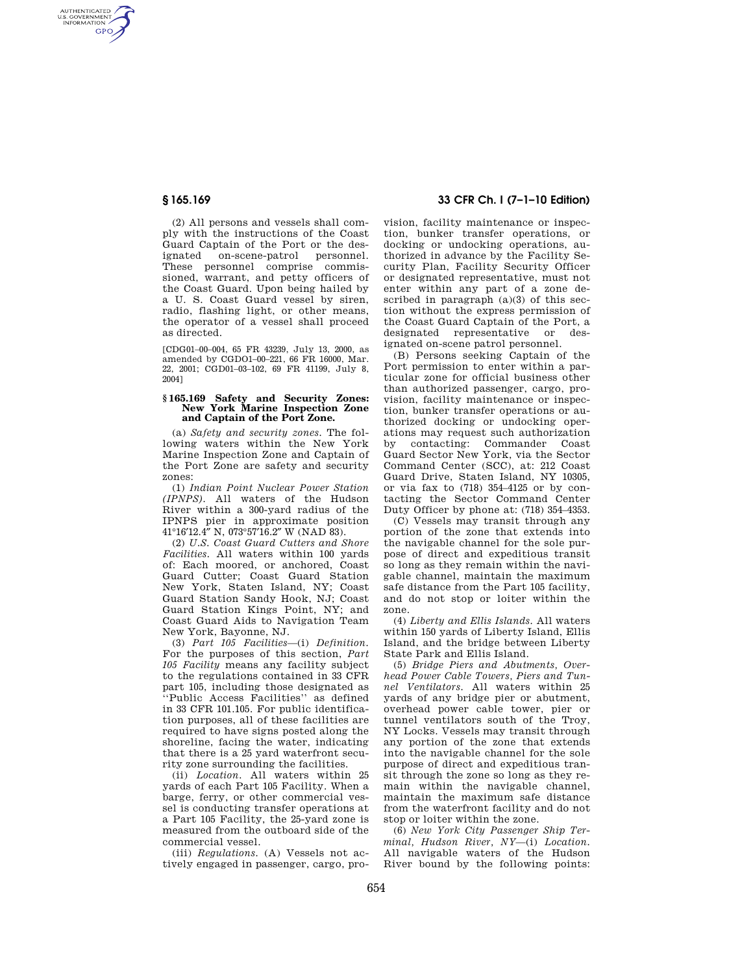AUTHENTICATED<br>U.S. GOVERNMENT<br>INFORMATION **GPO** 

> (2) All persons and vessels shall comply with the instructions of the Coast Guard Captain of the Port or the designated on-scene-patrol personnel. These personnel comprise commissioned, warrant, and petty officers of the Coast Guard. Upon being hailed by a U. S. Coast Guard vessel by siren, radio, flashing light, or other means, the operator of a vessel shall proceed as directed.

> [CDG01–00–004, 65 FR 43239, July 13, 2000, as amended by CGDO1–00–221, 66 FR 16000, Mar. 22, 2001; CGD01–03–102, 69 FR 41199, July 8, 2004]

### **§ 165.169 Safety and Security Zones: New York Marine Inspection Zone and Captain of the Port Zone.**

(a) *Safety and security zones.* The following waters within the New York Marine Inspection Zone and Captain of the Port Zone are safety and security zones:

(1) *Indian Point Nuclear Power Station (IPNPS).* All waters of the Hudson River within a 300-yard radius of the IPNPS pier in approximate position  $41^{\circ}16'12.4''$  N,  $073^{\circ}57'16.2''$  W (NAD 83).

(2) *U.S. Coast Guard Cutters and Shore Facilities.* All waters within 100 yards of: Each moored, or anchored, Coast Guard Cutter; Coast Guard Station New York, Staten Island, NY; Coast Guard Station Sandy Hook, NJ; Coast Guard Station Kings Point, NY; and Coast Guard Aids to Navigation Team New York, Bayonne, NJ.

(3) *Part 105 Facilities*—(i) *Definition.*  For the purposes of this section, *Part 105 Facility* means any facility subject to the regulations contained in 33 CFR part 105, including those designated as ''Public Access Facilities'' as defined in 33 CFR 101.105. For public identification purposes, all of these facilities are required to have signs posted along the shoreline, facing the water, indicating that there is a 25 yard waterfront security zone surrounding the facilities.

(ii) *Location.* All waters within 25 yards of each Part 105 Facility. When a barge, ferry, or other commercial vessel is conducting transfer operations at a Part 105 Facility, the 25-yard zone is measured from the outboard side of the commercial vessel.

(iii) *Regulations.* (A) Vessels not actively engaged in passenger, cargo, pro-

# **§ 165.169 33 CFR Ch. I (7–1–10 Edition)**

vision, facility maintenance or inspection, bunker transfer operations, or docking or undocking operations, authorized in advance by the Facility Security Plan, Facility Security Officer or designated representative, must not enter within any part of a zone described in paragraph (a)(3) of this section without the express permission of the Coast Guard Captain of the Port, a designated representative or designated on-scene patrol personnel.

(B) Persons seeking Captain of the Port permission to enter within a particular zone for official business other than authorized passenger, cargo, provision, facility maintenance or inspection, bunker transfer operations or authorized docking or undocking operations may request such authorization by contacting: Commander Coast Guard Sector New York, via the Sector Command Center (SCC), at: 212 Coast Guard Drive, Staten Island, NY 10305, or via fax to (718) 354–4125 or by contacting the Sector Command Center Duty Officer by phone at: (718) 354–4353.

(C) Vessels may transit through any portion of the zone that extends into the navigable channel for the sole purpose of direct and expeditious transit so long as they remain within the navigable channel, maintain the maximum safe distance from the Part 105 facility, and do not stop or loiter within the zone.

(4) *Liberty and Ellis Islands.* All waters within 150 yards of Liberty Island, Ellis Island, and the bridge between Liberty State Park and Ellis Island.

(5) *Bridge Piers and Abutments, Overhead Power Cable Towers, Piers and Tunnel Ventilators.* All waters within 25 yards of any bridge pier or abutment, overhead power cable tower, pier or tunnel ventilators south of the Troy, NY Locks. Vessels may transit through any portion of the zone that extends into the navigable channel for the sole purpose of direct and expeditious transit through the zone so long as they remain within the navigable channel, maintain the maximum safe distance from the waterfront facility and do not stop or loiter within the zone.

(6) *New York City Passenger Ship Terminal, Hudson River, NY*—(i) *Location.*  All navigable waters of the Hudson River bound by the following points: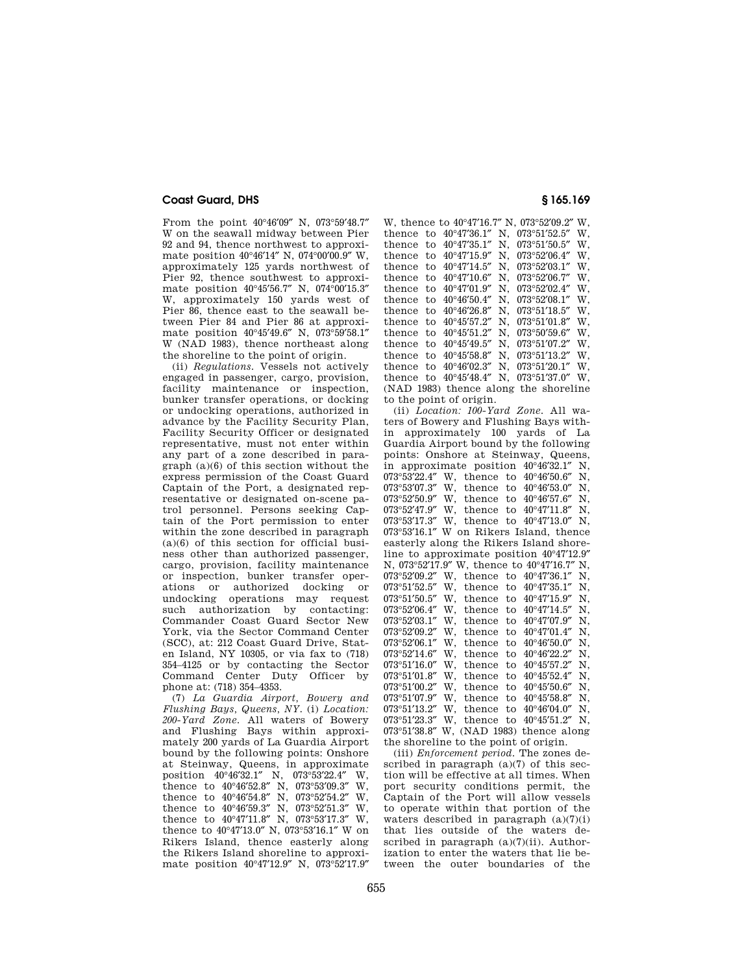# **Coast Guard, DHS § 165.169**

From the point 40°46′09″ N, 073°59′48.7″ W on the seawall midway between Pier 92 and 94, thence northwest to approximate position 40°46′14″ N, 074°00′00.9″ W, approximately 125 yards northwest of Pier 92, thence southwest to approximate position 40°45′56.7″ N, 074°00′15.3″ W, approximately 150 yards west of Pier 86, thence east to the seawall between Pier 84 and Pier 86 at approximate position 40°45′49.6″ N, 073°59′58.1″ W (NAD 1983), thence northeast along the shoreline to the point of origin.

(ii) *Regulations.* Vessels not actively engaged in passenger, cargo, provision, facility maintenance or inspection, bunker transfer operations, or docking or undocking operations, authorized in advance by the Facility Security Plan, Facility Security Officer or designated representative, must not enter within any part of a zone described in paragraph (a)(6) of this section without the express permission of the Coast Guard Captain of the Port, a designated representative or designated on-scene patrol personnel. Persons seeking Captain of the Port permission to enter within the zone described in paragraph (a)(6) of this section for official business other than authorized passenger, cargo, provision, facility maintenance or inspection, bunker transfer operations or authorized docking or undocking operations may request such authorization by contacting: Commander Coast Guard Sector New York, via the Sector Command Center (SCC), at: 212 Coast Guard Drive, Staten Island, NY 10305, or via fax to (718) 354–4125 or by contacting the Sector Command Center Duty Officer by phone at: (718) 354–4353.

(7) *La Guardia Airport, Bowery and Flushing Bays, Queens, NY.* (i) *Location: 200-Yard Zone.* All waters of Bowery and Flushing Bays within approximately 200 yards of La Guardia Airport bound by the following points: Onshore at Steinway, Queens, in approximate position 40°46′32.1″ N, 073°53′22.4″ W, thence to 40°46′52.8″ N, 073°53′09.3″ W, thence to 40°46′54.8″ N, 073°52′54.2″ W, thence to 40°46′59.3″ N, 073°52′51.3″ W, thence to 40°47′11.8″ N, 073°53′17.3″ W, thence to 40°47′13.0″ N, 073°53′16.1″ W on Rikers Island, thence easterly along the Rikers Island shoreline to approximate position 40°47′12.9″ N, 073°52′17.9″

```
W, thence to 40°47′16.7″ N, 073°52′09.2″ W, 
thence to 40°47′36.1″ N, 073°51′52.5″ W, 
thence to 40°47′35.1″ N, 073°51′50.5″ W, 
thence to 40°47′15.9″ N, 073°52′06.4″ W, 
thence to 40°47′14.5″ N, 073°52′03.1″ W, 
thence to 40°47′10.6″ N, 073°52′06.7″ W, 
thence to 40°47′01.9″ N, 073°52′02.4″ W, 
thence to 40°46′50.4″ N, 073°52′08.1″ W, 
thence to 40°46′26.8″ N, 073°51′18.5″ W, 
thence to 40^{\circ}45'57.2'' N, 073^{\circ}51'01.8'' W,
thence to 40°45′51.2″ N, 073°50′59.6″ W, 
thence to 40°45′49.5″ N, 073°51′07.2″ W, 
thence to 40°45′58.8″ N, 073°51′13.2″ W, 
thence to 40°46′02.3″ N, 073°51′20.1″ W, 
thence to 40°45′48.4″ N, 073°51′37.0″ W, 
(NAD 1983) thence along the shoreline 
to the point of origin.
```
(ii) *Location: 100-Yard Zone.* All waters of Bowery and Flushing Bays within approximately 100 yards of La Guardia Airport bound by the following points: Onshore at Steinway, Queens, in approximate position 40°46′32.1″ N, °53′22.4″ W, thence to 40°46′50.6″ N, °53′07.3″ W, thence to 40°46′53.0″ N, °52′50.9″ W, thence to 40°46′57.6″ N, °52′47.9″ W, thence to 40°47′11.8″ N, 073°53'17.3" W, thence to 40°47'13.0" N, °53′16.1″ W on Rikers Island, thence easterly along the Rikers Island shoreline to approximate position 40°47′12.9″ N, 073°52′17.9″ W, thence to 40°47′16.7″ N, °52′09.2″ W, thence to 40°47′36.1″ N, °51′52.5″ W, thence to 40°47′35.1″ N, °51′50.5″ W, thence to 40°47′15.9″ N, °52′06.4″ W, thence to 40°47′14.5″ N, °52′03.1″ W, thence to 40°47′07.9″ N, °52′09.2″ W, thence to 40°47′01.4″ N, °52′06.1″ W, thence to 40°46′50.0″ N,  $073^{\circ}52'14.6''$  W, thence to  $40^{\circ}46'22.2''$  N, °51′16.0″ W, thence to 40°45′57.2″ N, °51′01.8″ W, thence to 40°45′52.4″ N, °51′00.2″ W, thence to 40°45′50.6″ N, °51′07.9″ W, thence to 40°45′58.8″ N, °51′13.2″ W, thence to 40°46′04.0″ N, °51′23.3″ W, thence to 40°45′51.2″ N, °51′38.8″ W, (NAD 1983) thence along the shoreline to the point of origin.

(iii) *Enforcement period.* The zones described in paragraph (a)(7) of this section will be effective at all times. When port security conditions permit, the Captain of the Port will allow vessels to operate within that portion of the waters described in paragraph  $(a)(7)(i)$ that lies outside of the waters described in paragraph  $(a)(7)(ii)$ . Authorization to enter the waters that lie between the outer boundaries of the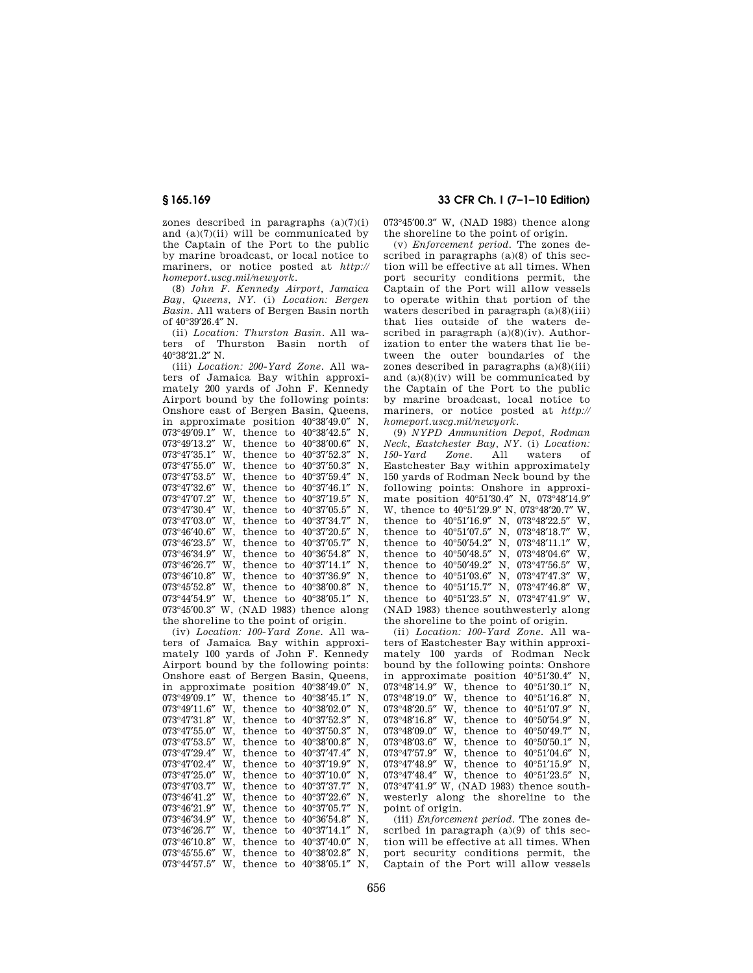zones described in paragraphs (a)(7)(i) and  $(a)(7)(ii)$  will be communicated by the Captain of the Port to the public by marine broadcast, or local notice to mariners, or notice posted at *http:// homeport.uscg.mil/newyork*.

(8) *John F. Kennedy Airport, Jamaica Bay, Queens, NY.* (i) *Location: Bergen Basin.* All waters of Bergen Basin north of 40°39′26.4″ N.

(ii) *Location: Thurston Basin.* All waters of Thurston Basin north of  $40^{\circ}38'21.2''$  N

(iii) *Location: 200-Yard Zone.* All waters of Jamaica Bay within approximately 200 yards of John F. Kennedy Airport bound by the following points: Onshore east of Bergen Basin, Queens, in approximate position 40°38′49.0″ N, 073°49'09.1" W, thence to 40°38'42.5" N. 073°49′13.2″ W, thence to 40°38′00.6″ N, 073°47′35.1″ W, thence to 40°37′52.3″ N, 073°47′55.0″ W, thence to 40°37′50.3″ N, 073°47′53.5″ W, thence to 40°37′59.4″ N, 073°47′32.6″ W, thence to 40°37′46.1″ N, 073°47′07.2″ W, thence to 40°37′19.5″ N, 073°47'07.2" W, thence to 40°37'19.5" N,<br>073°47'30.4" W, thence to 40°37'05.5" N,  $073^{\circ}47'03.0''$  W, thence to  $40^{\circ}37'34.7''$  N,  $073^{\circ}46'40.6''$  W, thence to  $40^{\circ}37'20.5''$  N. W, thence to  $40^{\circ}37'20.5''$ 073°46′23.5″ W, thence to 40°37′05.7″ N, 073°46′34.9″ W, thence to  $40^{\circ}36'54.8''$  N, 073°46′26.7″ W, thence to  $40^{\circ}37'14.1''$  N. W, thence to  $40^{\circ}37'14.1''$  $073^{\circ}46'10.8''$  W, thence to  $40^{\circ}37'36.9''$  N. 073°45′52.8″ W, thence to 40°38′00.8″ N, 073°44′54.9″ W, thence to 40°38′05.1″ N, 073°45′00.3″ W, (NAD 1983) thence along the shoreline to the point of origin.

(iv) *Location: 100-Yard Zone.* All waters of Jamaica Bay within approximately 100 yards of John F. Kennedy Airport bound by the following points: Onshore east of Bergen Basin, Queens, in approximate position 40°38′49.0″ N, 073°49′09.1″ W, thence to 40°38′45.1″ N, 073°49′11.6″ W, thence to 40°38′02.0″ N, 073°47′31.8″ W, thence to 40°37′52.3″ N, 073°47'55.0" W, thence to 40°37'50.3" N, 073°47′53.5″ W, thence to 40°38′00.8″ N, 073°47′29.4″ W, thence to 40°37′47.4″ N,  $073^{\circ}47'02.4''$  W, thence to  $40^{\circ}37'19.9''$  N. 073°47′25.0″ W, thence to 40°37′10.0″ N,  $073^{\circ}47'03.7'' \text{ W}, \text{ thence to } 40^{\circ}37'37.7'' \text{ N}, \\ 073^{\circ}46'41.2'' \text{ W}, \text{ thence to } 40^{\circ}37'22.6'' \text{ N}.$ W, thence to  $40^{\circ}37'22.6''$  N, 073°46′21.9″ W, thence to 40°37′05.7″ N,  $073^{\circ}46'34.9''$  W, thence to  $40^{\circ}36'54.8''$  N,  $073^{\circ}46'26.7''$  W, thence to  $40^{\circ}37'14.1''$  N. W, thence to  $40^{\circ}37'14.1''$ 073°46′10.8″ W, thence to 40°37′40.0″ N, 073°45′55.6″ W, thence to 40°38′02.8″ N, 073°44′57.5″ W, thence to 40°38′05.1″ N,

# **§ 165.169 33 CFR Ch. I (7–1–10 Edition)**

073°45′00.3″ W, (NAD 1983) thence along the shoreline to the point of origin.

(v) *Enforcement period.* The zones described in paragraphs (a)(8) of this section will be effective at all times. When port security conditions permit, the Captain of the Port will allow vessels to operate within that portion of the waters described in paragraph (a)(8)(iii) that lies outside of the waters described in paragraph  $(a)(8)(iv)$ . Authorization to enter the waters that lie between the outer boundaries of the zones described in paragraphs (a)(8)(iii) and (a)(8)(iv) will be communicated by the Captain of the Port to the public by marine broadcast, local notice to mariners, or notice posted at *http:// homeport.uscg.mil/newyork*.

(9) *NYPD Ammunition Depot, Rodman Neck, Eastchester Bay, NY.* (i) *Location: 150-Yard Zone.* All waters of Eastchester Bay within approximately 150 yards of Rodman Neck bound by the following points: Onshore in approximate position 40°51′30.4″ N, 073°48′14.9″ W, thence to 40°51′29.9″ N, 073°48′20.7″ W, thence to 40°51′16.9″ N, 073°48′22.5″ W, thence to 40°51′07.5″ N, 073°48′18.7″ W, thence to 40°50′54.2″ N, 073°48′11.1″ W, thence to 40°50′48.5″ N, 073°48′04.6″ W, thence to 40°50′49.2″ N, 073°47′56.5″ W, thence to 40°51′03.6″ N, 073°47′47.3″ W, thence to 40°51′15.7″ N, 073°47′46.8″ W, thence to 40°51′23.5″ N, 073°47′41.9″ W, (NAD 1983) thence southwesterly along the shoreline to the point of origin.

(ii) *Location: 100-Yard Zone.* All waters of Eastchester Bay within approximately 100 yards of Rodman Neck bound by the following points: Onshore in approximate position 40°51′30.4″ N, 073°48′14.9″ W, thence to 40°51′30.1″ N, 073°48′19.0″ W, thence to 40°51′16.8″ N, 073°48′20.5″ W, thence to 40°51′07.9″ N, 073°48′16.8″ W, thence to 40°50′54.9″ N, 073°48′09.0″ W, thence to 40°50′49.7″ N, 073°48′03.6″ W, thence to 40°50′50.1″ N, 073°47′57.9″ W, thence to 40°51′04.6″ N, 073°47'48.9" W, thence to 40°51'15.9" N, 073°47′48.4″ W, thence to 40°51′23.5″ N, 073°47′41.9″ W, (NAD 1983) thence southwesterly along the shoreline to the point of origin.

(iii) *Enforcement period.* The zones described in paragraph (a)(9) of this section will be effective at all times. When port security conditions permit, the Captain of the Port will allow vessels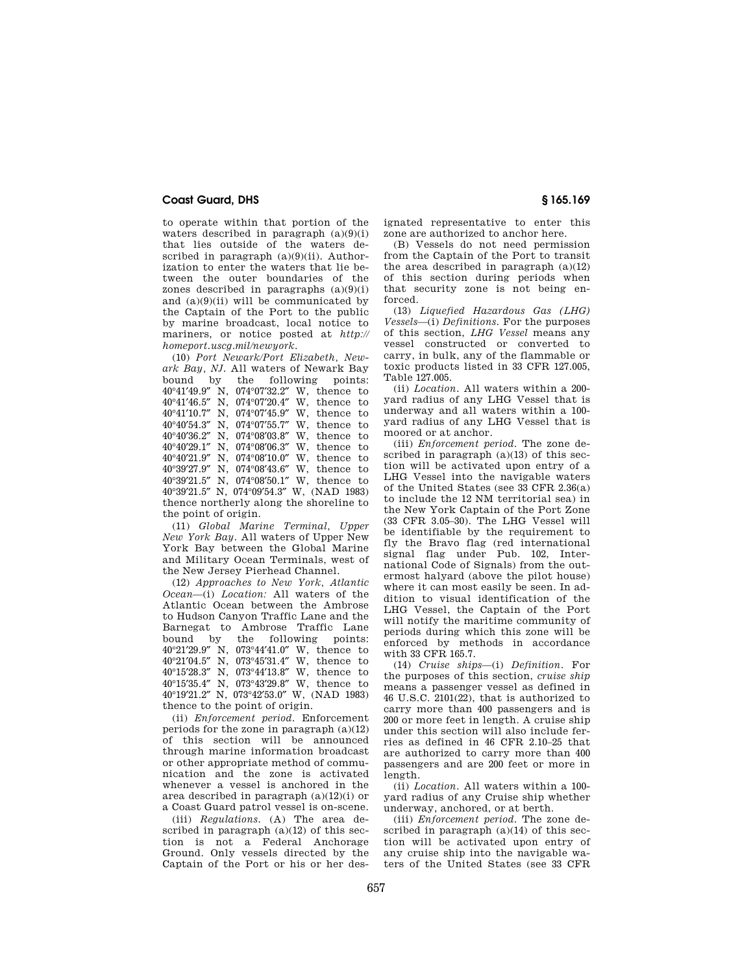# **Coast Guard, DHS § 165.169**

to operate within that portion of the waters described in paragraph  $(a)(9)(i)$ that lies outside of the waters described in paragraph  $(a)(9)(ii)$ . Authorization to enter the waters that lie between the outer boundaries of the zones described in paragraphs (a)(9)(i) and  $(a)(9)(ii)$  will be communicated by the Captain of the Port to the public by marine broadcast, local notice to mariners, or notice posted at *http:// homeport.uscg.mil/newyork*.

(10) *Port Newark/Port Elizabeth, Newark Bay, NJ.* All waters of Newark Bay bound by the following points: °41′49.9″ N, 074°07′32.2″ W, thence to °41′46.5″ N, 074°07′20.4″ W, thence to °41′10.7″ N, 074°07′45.9″ W, thence to °40′54.3″ N, 074°07′55.7″ W, thence to °40′36.2″ N, 074°08′03.8″ W, thence to °40′29.1″ N, 074°08′06.3″ W, thence to °40′21.9″ N, 074°08′10.0″ W, thence to °39′27.9″ N, 074°08′43.6″ W, thence to °39′21.5″ N, 074°08′50.1″ W, thence to °39′21.5″ N, 074°09′54.3″ W, (NAD 1983) thence northerly along the shoreline to the point of origin.

(11) *Global Marine Terminal, Upper New York Bay.* All waters of Upper New York Bay between the Global Marine and Military Ocean Terminals, west of the New Jersey Pierhead Channel.

(12) *Approaches to New York, Atlantic Ocean*—(i) *Location:* All waters of the Atlantic Ocean between the Ambrose to Hudson Canyon Traffic Lane and the Barnegat to Ambrose Traffic Lane bound by the following points: 40°21′29.9″ N, 073°44′41.0″ W, thence to 40°21′04.5″ N, 073°45′31.4″ W, thence to 40°15′28.3″ N, 073°44′13.8″ W, thence to 40°15′35.4″ N, 073°43′29.8″ W, thence to 40°19′21.2″ N, 073°42′53.0″ W, (NAD 1983) thence to the point of origin.

(ii) *Enforcement period.* Enforcement periods for the zone in paragraph (a)(12) of this section will be announced through marine information broadcast or other appropriate method of communication and the zone is activated whenever a vessel is anchored in the area described in paragraph (a)(12)(i) or a Coast Guard patrol vessel is on-scene.

(iii) *Regulations.* (A) The area described in paragraph (a)(12) of this section is not a Federal Anchorage Ground. Only vessels directed by the Captain of the Port or his or her designated representative to enter this zone are authorized to anchor here.

(B) Vessels do not need permission from the Captain of the Port to transit the area described in paragraph (a)(12) of this section during periods when that security zone is not being enforced.

(13) *Liquefied Hazardous Gas (LHG) Vessels*—(i) *Definitions.* For the purposes of this section, *LHG Vessel* means any vessel constructed or converted to carry, in bulk, any of the flammable or toxic products listed in 33 CFR 127.005, Table 127.005.

(ii) *Location.* All waters within a 200 yard radius of any LHG Vessel that is underway and all waters within a 100 yard radius of any LHG Vessel that is moored or at anchor.

(iii) *Enforcement period.* The zone described in paragraph  $(a)(13)$  of this section will be activated upon entry of a LHG Vessel into the navigable waters of the United States (see 33 CFR 2.36(a) to include the 12 NM territorial sea) in the New York Captain of the Port Zone (33 CFR 3.05–30). The LHG Vessel will be identifiable by the requirement to fly the Bravo flag (red international signal flag under Pub. 102, International Code of Signals) from the outermost halyard (above the pilot house) where it can most easily be seen. In addition to visual identification of the LHG Vessel, the Captain of the Port will notify the maritime community of periods during which this zone will be enforced by methods in accordance with 33 CFR 1657

(14) *Cruise ships*—(i) *Definition.* For the purposes of this section, *cruise ship*  means a passenger vessel as defined in 46 U.S.C. 2101(22), that is authorized to carry more than 400 passengers and is 200 or more feet in length. A cruise ship under this section will also include ferries as defined in 46 CFR 2.10–25 that are authorized to carry more than 400 passengers and are 200 feet or more in length.

(ii) *Location.* All waters within a 100 yard radius of any Cruise ship whether underway, anchored, or at berth.

(iii) *Enforcement period.* The zone described in paragraph  $(a)(14)$  of this section will be activated upon entry of any cruise ship into the navigable waters of the United States (see 33 CFR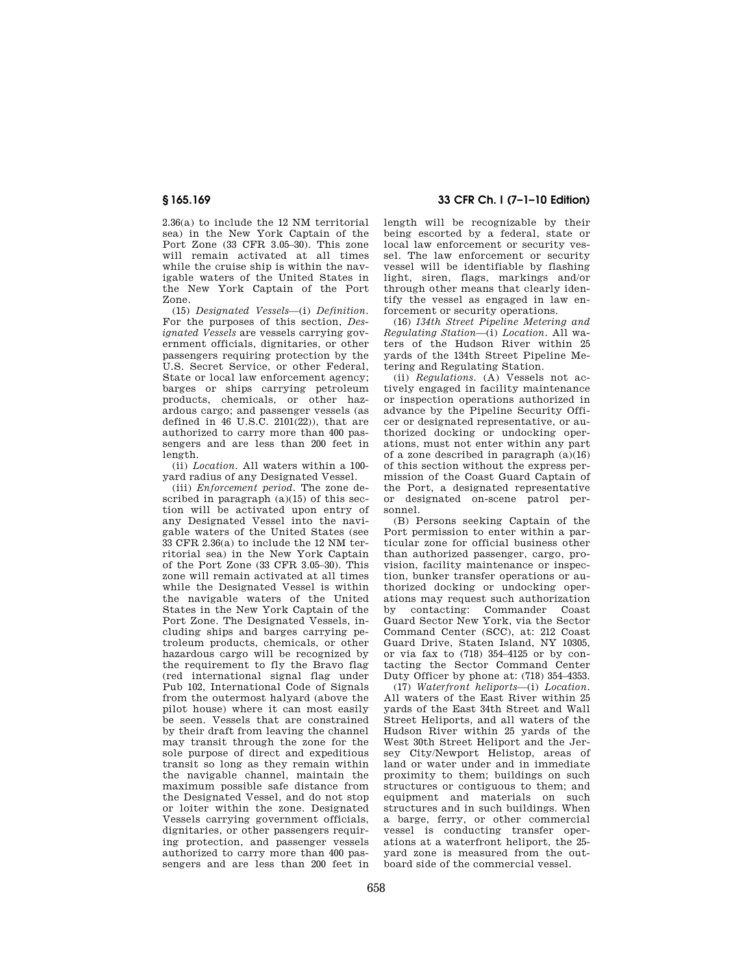2.36(a) to include the 12 NM territorial sea) in the New York Captain of the Port Zone (33 CFR 3.05–30). This zone will remain activated at all times while the cruise ship is within the navigable waters of the United States in the New York Captain of the Port Zone.

(15) *Designated Vessels*—(i) *Definition.*  For the purposes of this section, *Designated Vessels* are vessels carrying government officials, dignitaries, or other passengers requiring protection by the U.S. Secret Service, or other Federal, State or local law enforcement agency; barges or ships carrying petroleum products, chemicals, or other hazardous cargo; and passenger vessels (as defined in  $46$  U.S.C.  $2101(22)$ , that are authorized to carry more than 400 passengers and are less than 200 feet in length.

(ii) *Location.* All waters within a 100 yard radius of any Designated Vessel.

(iii) *Enforcement period.* The zone described in paragraph  $(a)(15)$  of this section will be activated upon entry of any Designated Vessel into the navigable waters of the United States (see 33 CFR 2.36(a) to include the 12 NM territorial sea) in the New York Captain of the Port Zone (33 CFR 3.05–30). This zone will remain activated at all times while the Designated Vessel is within the navigable waters of the United States in the New York Captain of the Port Zone. The Designated Vessels, including ships and barges carrying petroleum products, chemicals, or other hazardous cargo will be recognized by the requirement to fly the Bravo flag (red international signal flag under Pub 102, International Code of Signals from the outermost halyard (above the pilot house) where it can most easily be seen. Vessels that are constrained by their draft from leaving the channel may transit through the zone for the sole purpose of direct and expeditious transit so long as they remain within the navigable channel, maintain the maximum possible safe distance from the Designated Vessel, and do not stop or loiter within the zone. Designated Vessels carrying government officials, dignitaries, or other passengers requiring protection, and passenger vessels authorized to carry more than 400 passengers and are less than 200 feet in

# **§ 165.169 33 CFR Ch. I (7–1–10 Edition)**

length will be recognizable by their being escorted by a federal, state or local law enforcement or security vessel. The law enforcement or security vessel will be identifiable by flashing light, siren, flags, markings and/or through other means that clearly identify the vessel as engaged in law enforcement or security operations.

(16) *134th Street Pipeline Metering and Regulating Station*—(i) *Location.* All waters of the Hudson River within 25 yards of the 134th Street Pipeline Metering and Regulating Station.

(ii) *Regulations.* (A) Vessels not actively engaged in facility maintenance or inspection operations authorized in advance by the Pipeline Security Officer or designated representative, or authorized docking or undocking operations, must not enter within any part of a zone described in paragraph  $(a)(16)$ of this section without the express permission of the Coast Guard Captain of the Port, a designated representative or designated on-scene patrol personnel.

(B) Persons seeking Captain of the Port permission to enter within a particular zone for official business other than authorized passenger, cargo, provision, facility maintenance or inspection, bunker transfer operations or authorized docking or undocking operations may request such authorization by contacting: Commander Coast Guard Sector New York, via the Sector Command Center (SCC), at: 212 Coast Guard Drive, Staten Island, NY 10305, or via fax to (718) 354–4125 or by contacting the Sector Command Center Duty Officer by phone at: (718) 354–4353.

(17) *Waterfront heliports*—(i) *Location.*  All waters of the East River within 25 yards of the East 34th Street and Wall Street Heliports, and all waters of the Hudson River within 25 yards of the West 30th Street Heliport and the Jersey City/Newport Helistop, areas of land or water under and in immediate proximity to them; buildings on such structures or contiguous to them; and equipment and materials on such structures and in such buildings. When a barge, ferry, or other commercial vessel is conducting transfer operations at a waterfront heliport, the 25 yard zone is measured from the outboard side of the commercial vessel.